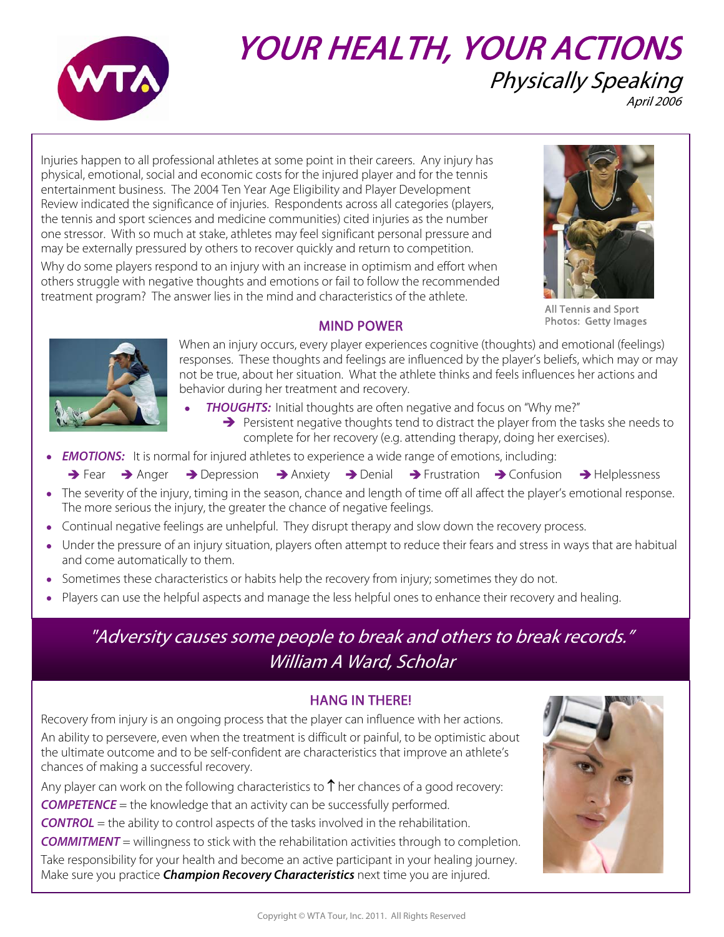

# YOUR HEALTH, YOUR ACTIONS Physically Speaking April 2006

Injuries happen to all professional athletes at some point in their careers. Any injury has physical, emotional, social and economic costs for the injured player and for the tennis entertainment business. The 2004 Ten Year Age Eligibility and Player Development Review indicated the significance of injuries. Respondents across all categories (players, the tennis and sport sciences and medicine communities) cited injuries as the number one stressor. With so much at stake, athletes may feel significant personal pressure and may be externally pressured by others to recover quickly and return to competition.

Why do some players respond to an injury with an increase in optimism and effort when others struggle with negative thoughts and emotions or fail to follow the recommended treatment program? The answer lies in the mind and characteristics of the athlete.



All Tennis and Sport Photos: Getty Images

## MIND POWER



When an injury occurs, every player experiences cognitive (thoughts) and emotional (feelings) responses. These thoughts and feelings are influenced by the player's beliefs, which may or may not be true, about her situation. What the athlete thinks and feels influences her actions and behavior during her treatment and recovery.

- **THOUGHTS:** Initial thoughts are often negative and focus on "Why me?"  $\rightarrow$  Persistent negative thoughts tend to distract the player from the tasks she needs to complete for her recovery (e.g. attending therapy, doing her exercises).
- **EMOTIONS:** It is normal for injured athletes to experience a wide range of emotions, including:
	- $\rightarrow$  Fear  $\rightarrow$  Anger  $\rightarrow$  Depression  $\rightarrow$  Anxiety  $\rightarrow$  Denial  $\rightarrow$  Frustration  $\rightarrow$  Confusion  $\rightarrow$  Helplessness
- The severity of the injury, timing in the season, chance and length of time off all affect the player's emotional response. The more serious the injury, the greater the chance of negative feelings.
- Continual negative feelings are unhelpful. They disrupt therapy and slow down the recovery process.
- Under the pressure of an injury situation, players often attempt to reduce their fears and stress in ways that are habitual and come automatically to them.
- Sometimes these characteristics or habits help the recovery from injury; sometimes they do not.
- Players can use the helpful aspects and manage the less helpful ones to enhance their recovery and healing.

## "Adversity causes some people to break and others to break records." William A Ward, Scholar

## HANG IN THERE!

Recovery from injury is an ongoing process that the player can influence with her actions. An ability to persevere, even when the treatment is difficult or painful, to be optimistic about the ultimate outcome and to be self-confident are characteristics that improve an athlete's chances of making a successful recovery.

Any player can work on the following characteristics to  $\uparrow$  her chances of a good recovery: **COMPETENCE** = the knowledge that an activity can be successfully performed. **CONTROL** = the ability to control aspects of the tasks involved in the rehabilitation. **COMMITMENT** = willingness to stick with the rehabilitation activities through to completion. Take responsibility for your health and become an active participant in your healing journey. Make sure you practice **Champion Recovery Characteristics** next time you are injured.